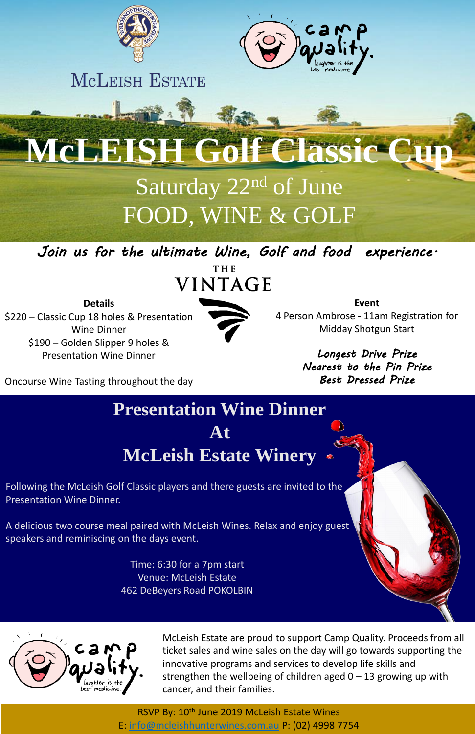



**MCLEISH ESTATE** 

McLeish Golf Classic Cup

# **MCLEISH Golf Class**

RSVP By: 10<sup>th</sup> June 2019 McLeish Estate Wines E: [info@mcleishhunterwines.com.au](mailto:info@mcleishhunterwines.com.au) P: (02) 4998 7754

## Saturday 22nd of June FOOD, WINE & GOLF

Following the McLeish Golf Classic players and there guests are invited to the Presentation Wine Dinner.

#### **Presentation Wine Dinner At McLeish Estate Winery**

 $\frac{1}{\sqrt{2}}$ the uitimate Wine, Golf and food exper  $_{\rm{THE}}$ *Join us for the ultimate Wine, Golf and food experience.*



A delicious two course meal paired with McLeish Wines. Relax and enjoy guest speakers and reminiscing on the days event.

> Time: 6:30 for a 7pm start Venue: McLeish Estate 462 DeBeyers Road POKOLBIN





**Event** 4 Person Ambrose - 11am Registration for Midday Shotgun Start

> *Longest Drive Prize Nearest to the Pin Prize Best Dressed Prize*

**Details** \$220 – Classic Cup 18 holes & Presentation Wine Dinner \$190 – Golden Slipper 9 holes &



Presentation Wine Dinner

Oncourse Wine Tasting throughout the day

McLeish Estate are proud to support Camp Quality. Proceeds from all ticket sales and wine sales on the day will go towards supporting the innovative programs and services to develop life skills and strengthen the wellbeing of children aged  $0 - 13$  growing up with cancer, and their families.